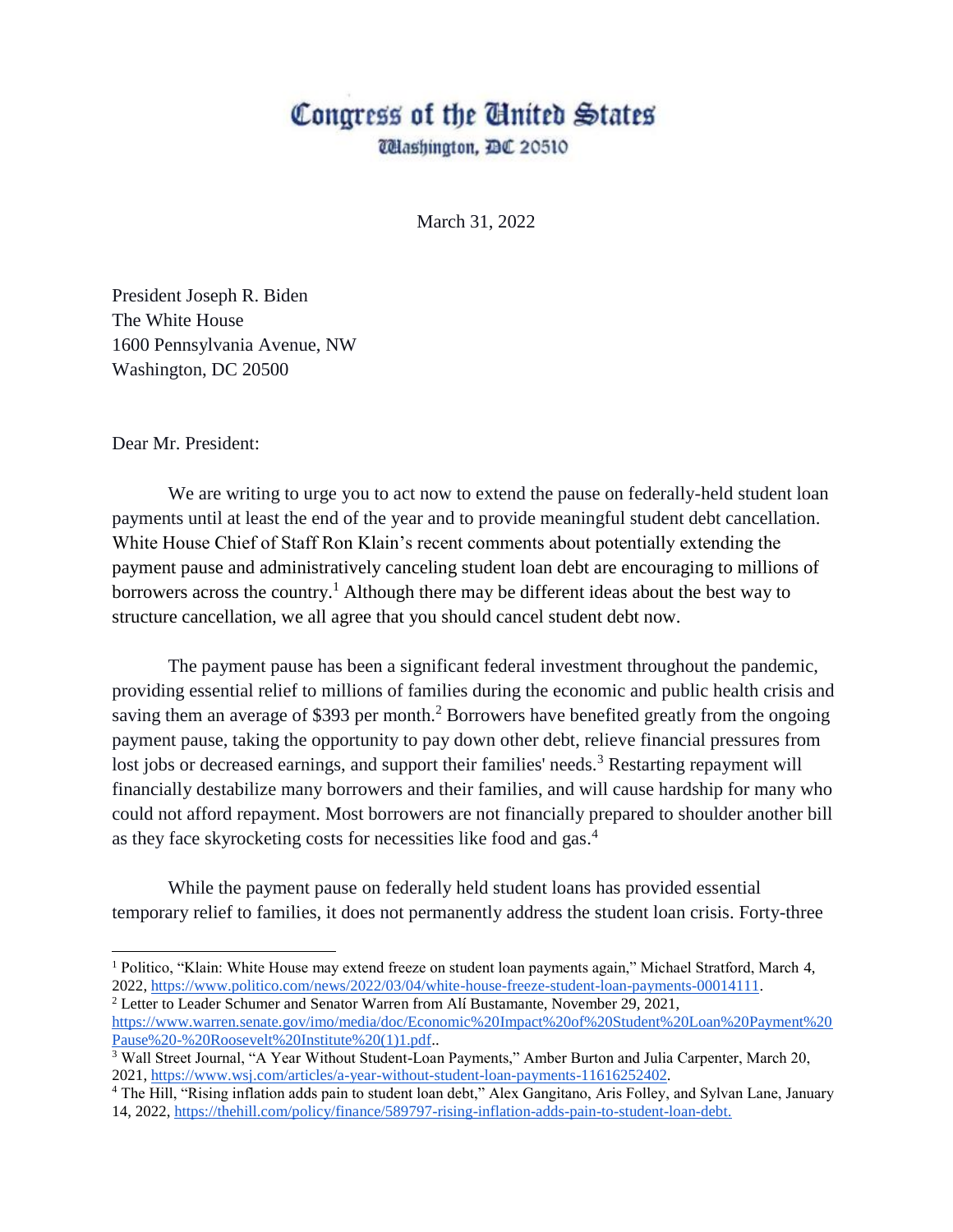## Congress of the Ginited States

*Ulashington, DC 20510* 

March 31, 2022

President Joseph R. Biden The White House 1600 Pennsylvania Avenue, NW Washington, DC 20500

Dear Mr. President:

 $\overline{a}$ 

We are writing to urge you to act now to extend the pause on federally-held student loan payments until at least the end of the year and to provide meaningful student debt cancellation. White House Chief of Staff Ron Klain's recent comments about potentially extending the payment pause and administratively canceling student loan debt are encouraging to millions of borrowers across the country.<sup>1</sup> Although there may be different ideas about the best way to structure cancellation, we all agree that you should cancel student debt now.

The payment pause has been a significant federal investment throughout the pandemic, providing essential relief to millions of families during the economic and public health crisis and saving them an average of \$393 per month.<sup>2</sup> Borrowers have benefited greatly from the ongoing payment pause, taking the opportunity to pay down other debt, relieve financial pressures from lost jobs or decreased earnings, and support their families' needs.<sup>3</sup> Restarting repayment will financially destabilize many borrowers and their families, and will cause hardship for many who could not afford repayment. Most borrowers are not financially prepared to shoulder another bill as they face skyrocketing costs for necessities like food and gas.<sup>4</sup>

While the payment pause on federally held student loans has provided essential temporary relief to families, it does not permanently address the student loan crisis. Forty-three

<sup>1</sup> Politico, "Klain: White House may extend freeze on student loan payments again," Michael Stratford, March 4, 2022, [https://www.politico.com/news/2022/03/04/white-house-freeze-student-loan-payments-00014111.](https://www.politico.com/news/2022/03/04/white-house-freeze-student-loan-payments-00014111) <sup>2</sup> Letter to Leader Schumer and Senator Warren from Alí Bustamante, November 29, 2021,

[https://www.warren.senate.gov/imo/media/doc/Economic%20Impact%20of%20Student%20Loan%20Payment%20](https://www.warren.senate.gov/imo/media/doc/Economic%20Impact%20of%20Student%20Loan%20Payment%20Pause%20-%20Roosevelt%20Institute%20(1)1.pdf) [Pause%20-%20Roosevelt%20Institute%20\(1\)1.pdf.](https://www.warren.senate.gov/imo/media/doc/Economic%20Impact%20of%20Student%20Loan%20Payment%20Pause%20-%20Roosevelt%20Institute%20(1)1.pdf).

<sup>3</sup> Wall Street Journal, "A Year Without Student-Loan Payments," Amber Burton and Julia Carpenter, March 20, 2021, [https://www.wsj.com/articles/a-year-without-student-loan-payments-11616252402.](https://www.wsj.com/articles/a-year-without-student-loan-payments-11616252402)

<sup>&</sup>lt;sup>4</sup> The Hill, "Rising inflation adds pain to student loan debt," Alex Gangitano, Aris Folley, and Sylvan Lane, January 14, 2022, [https://thehill.com/policy/finance/589797-rising-inflation-adds-pain-to-student-loan-debt.](https://thehill.com/policy/finance/589797-rising-inflation-adds-pain-to-student-loan-debt)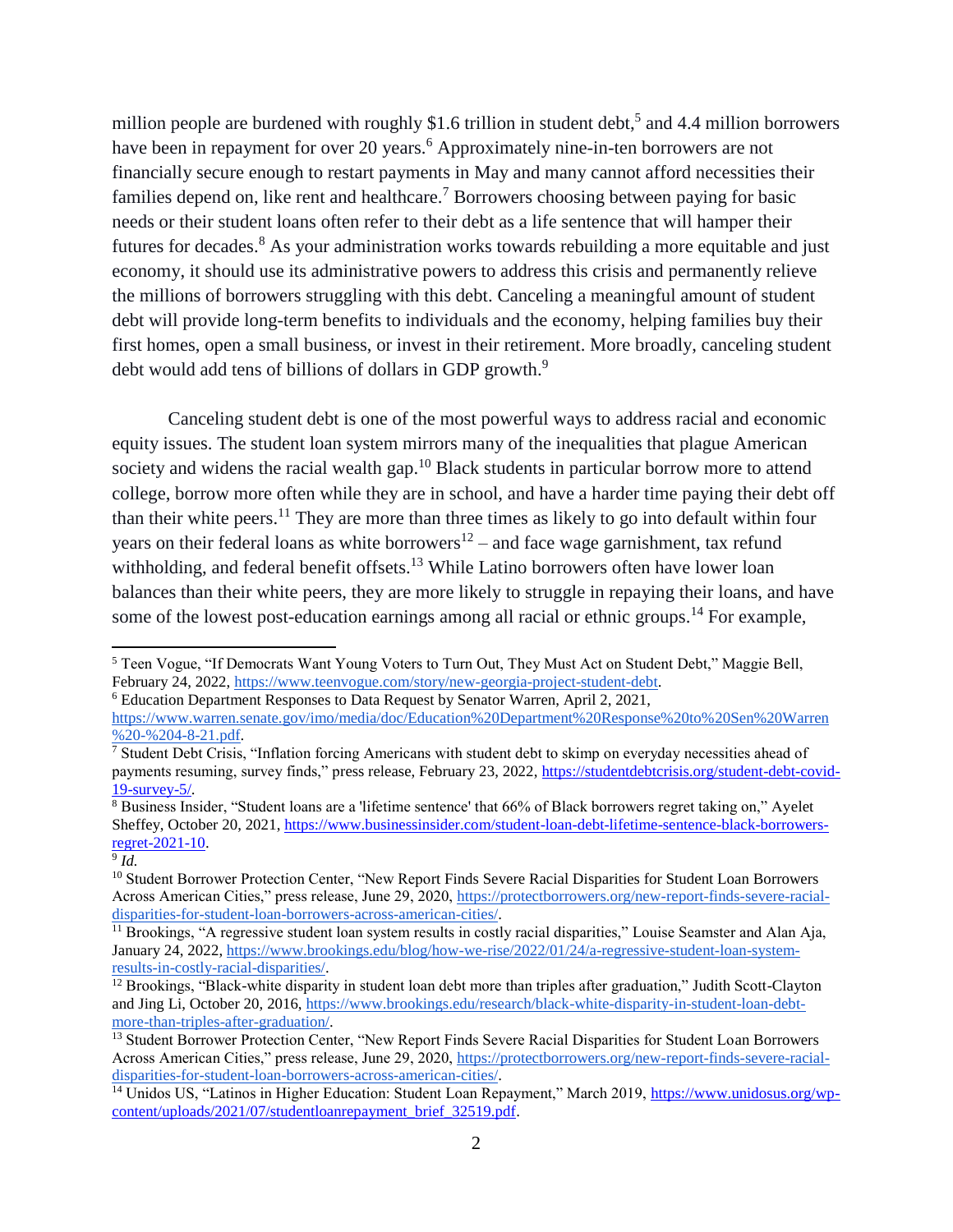million people are burdened with roughly \$1.6 trillion in student debt,<sup>5</sup> and 4.4 million borrowers have been in repayment for over 20 years.<sup>6</sup> Approximately nine-in-ten borrowers are not financially secure enough to restart payments in May and many cannot afford necessities their families depend on, like rent and healthcare.<sup>7</sup> Borrowers choosing between paying for basic needs or their student loans often refer to their debt as a life sentence that will hamper their futures for decades.<sup>8</sup> As your administration works towards rebuilding a more equitable and just economy, it should use its administrative powers to address this crisis and permanently relieve the millions of borrowers struggling with this debt. Canceling a meaningful amount of student debt will provide long-term benefits to individuals and the economy, helping families buy their first homes, open a small business, or invest in their retirement. More broadly, canceling student debt would add tens of billions of dollars in GDP growth.<sup>9</sup>

Canceling student debt is one of the most powerful ways to address racial and economic equity issues. The student loan system mirrors many of the inequalities that plague American society and widens the racial wealth gap.<sup>10</sup> Black students in particular borrow more to attend college, borrow more often while they are in school, and have a harder time paying their debt off than their white peers.<sup>11</sup> They are more than three times as likely to go into default within four years on their federal loans as white borrowers<sup>12</sup> – and face wage garnishment, tax refund withholding, and federal benefit offsets.<sup>13</sup> While Latino borrowers often have lower loan balances than their white peers, they are more likely to struggle in repaying their loans, and have some of the lowest post-education earnings among all racial or ethnic groups.<sup>14</sup> For example,

<sup>5</sup> Teen Vogue, "If Democrats Want Young Voters to Turn Out, They Must Act on Student Debt," Maggie Bell, February 24, 2022[, https://www.teenvogue.com/story/new-georgia-project-student-debt.](https://www.teenvogue.com/story/new-georgia-project-student-debt)

<sup>6</sup> Education Department Responses to Data Request by Senator Warren, April 2, 2021,

[https://www.warren.senate.gov/imo/media/doc/Education%20Department%20Response%20to%20Sen%20Warren](https://www.warren.senate.gov/imo/media/doc/Education%20Department%20Response%20to%20Sen%20Warren%20-%204-8-21.pdf) %20-%204-8-21.pdf.

<sup>7</sup> Student Debt Crisis, "Inflation forcing Americans with student debt to skimp on everyday necessities ahead of payments resuming, survey finds," press release, February 23, 2022, [https://studentdebtcrisis.org/student-debt-covid-](https://studentdebtcrisis.org/student-debt-covid-19-survey-5/)[19-survey-5/.](https://studentdebtcrisis.org/student-debt-covid-19-survey-5/)

<sup>8</sup> Business Insider, "Student loans are a 'lifetime sentence' that 66% of Black borrowers regret taking on," Ayelet Sheffey, October 20, 2021, [https://www.businessinsider.com/student-loan-debt-lifetime-sentence-black-borrowers](https://www.businessinsider.com/student-loan-debt-lifetime-sentence-black-borrowers-regret-2021-10)[regret-2021-10.](https://www.businessinsider.com/student-loan-debt-lifetime-sentence-black-borrowers-regret-2021-10)

<sup>9</sup> *Id.*

<sup>&</sup>lt;sup>10</sup> Student Borrower Protection Center, "New Report Finds Severe Racial Disparities for Student Loan Borrowers Across American Cities," press release, June 29, 2020, [https://protectborrowers.org/new-report-finds-severe-racial](https://protectborrowers.org/new-report-finds-severe-racial-disparities-for-student-loan-borrowers-across-american-cities/)[disparities-for-student-loan-borrowers-across-american-cities/.](https://protectborrowers.org/new-report-finds-severe-racial-disparities-for-student-loan-borrowers-across-american-cities/)

<sup>&</sup>lt;sup>11</sup> Brookings, "A regressive student loan system results in costly racial disparities," Louise Seamster and Alan Aja, January 24, 2022[, https://www.brookings.edu/blog/how-we-rise/2022/01/24/a-regressive-student-loan-system](https://www.brookings.edu/blog/how-we-rise/2022/01/24/a-regressive-student-loan-system-results-in-costly-racial-disparities/)[results-in-costly-racial-disparities/.](https://www.brookings.edu/blog/how-we-rise/2022/01/24/a-regressive-student-loan-system-results-in-costly-racial-disparities/)

<sup>&</sup>lt;sup>12</sup> Brookings, "Black-white disparity in student loan debt more than triples after graduation," Judith Scott-Clayton and Jing Li, October 20, 2016[, https://www.brookings.edu/research/black-white-disparity-in-student-loan-debt](https://www.brookings.edu/research/black-white-disparity-in-student-loan-debt-more-than-triples-after-graduation/)[more-than-triples-after-graduation/.](https://www.brookings.edu/research/black-white-disparity-in-student-loan-debt-more-than-triples-after-graduation/)

<sup>13</sup> Student Borrower Protection Center, "New Report Finds Severe Racial Disparities for Student Loan Borrowers Across American Cities," press release, June 29, 2020, [https://protectborrowers.org/new-report-finds-severe-racial](https://protectborrowers.org/new-report-finds-severe-racial-disparities-for-student-loan-borrowers-across-american-cities/)[disparities-for-student-loan-borrowers-across-american-cities/.](https://protectborrowers.org/new-report-finds-severe-racial-disparities-for-student-loan-borrowers-across-american-cities/)

<sup>&</sup>lt;sup>14</sup> Unidos US, "Latinos in Higher Education: Student Loan Repayment," March 2019, [https://www.unidosus.org/wp](https://www.unidosus.org/wp-content/uploads/2021/07/studentloanrepayment_brief_32519.pdf)[content/uploads/2021/07/studentloanrepayment\\_brief\\_32519.pdf.](https://www.unidosus.org/wp-content/uploads/2021/07/studentloanrepayment_brief_32519.pdf)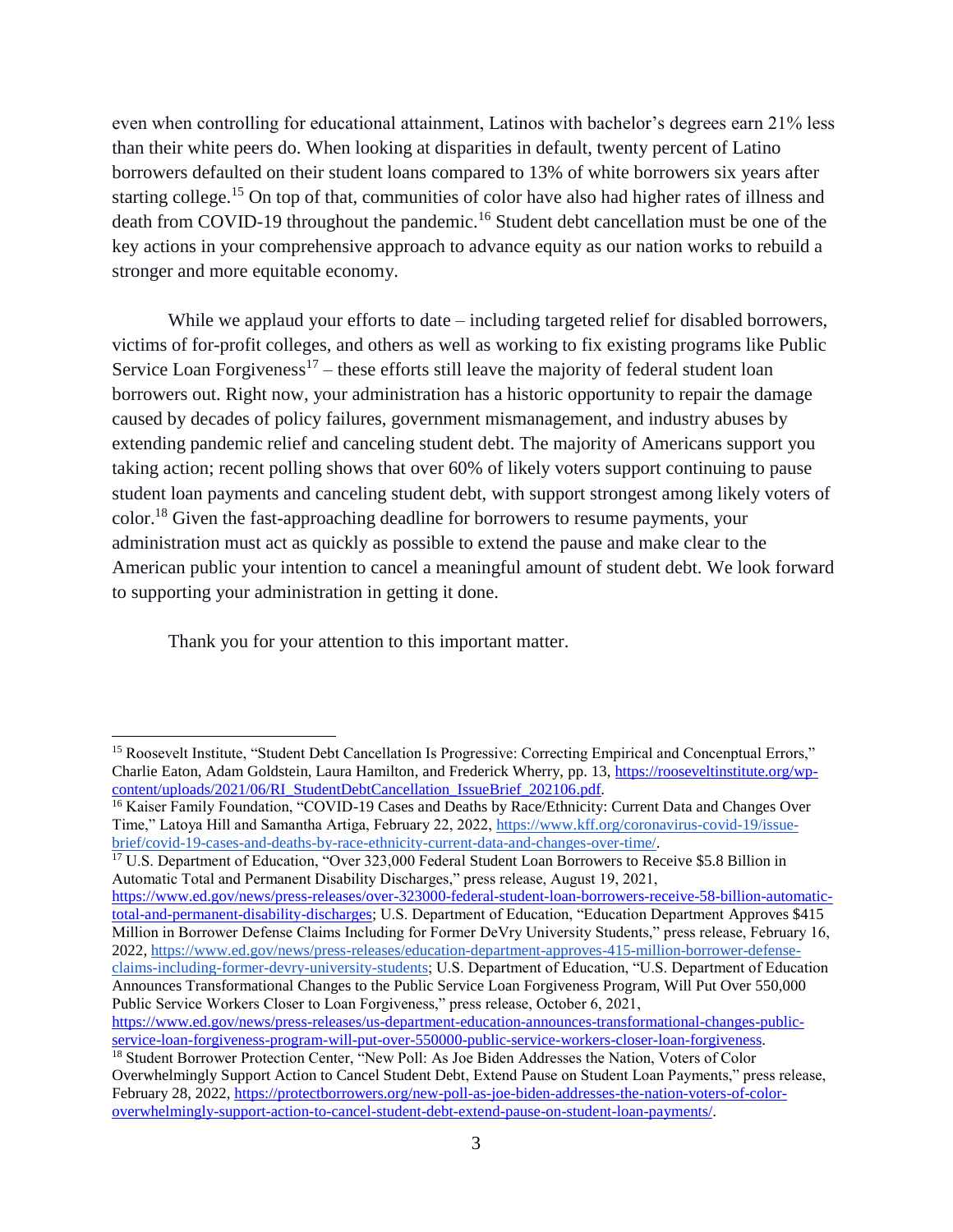even when controlling for educational attainment, Latinos with bachelor's degrees earn 21% less than their white peers do. When looking at disparities in default, twenty percent of Latino borrowers defaulted on their student loans compared to 13% of white borrowers six years after starting college.<sup>15</sup> On top of that, communities of color have also had higher rates of illness and death from COVID-19 throughout the pandemic.<sup>16</sup> Student debt cancellation must be one of the key actions in your comprehensive approach to advance equity as our nation works to rebuild a stronger and more equitable economy.

While we applaud your efforts to date – including targeted relief for disabled borrowers, victims of for-profit colleges, and others as well as working to fix existing programs like Public Service Loan Forgiveness<sup>17</sup> – these efforts still leave the majority of federal student loan borrowers out. Right now, your administration has a historic opportunity to repair the damage caused by decades of policy failures, government mismanagement, and industry abuses by extending pandemic relief and canceling student debt. The majority of Americans support you taking action; recent polling shows that over 60% of likely voters support continuing to pause student loan payments and canceling student debt, with support strongest among likely voters of color.<sup>18</sup> Given the fast-approaching deadline for borrowers to resume payments, your administration must act as quickly as possible to extend the pause and make clear to the American public your intention to cancel a meaningful amount of student debt. We look forward to supporting your administration in getting it done.

Thank you for your attention to this important matter.

 $\overline{a}$ 

<sup>17</sup> U.S. Department of Education, "Over 323,000 Federal Student Loan Borrowers to Receive \$5.8 Billion in Automatic Total and Permanent Disability Discharges," press release, August 19, 2021,

[https://www.ed.gov/news/press-releases/over-323000-federal-student-loan-borrowers-receive-58-billion-automatic](https://www.ed.gov/news/press-releases/over-323000-federal-student-loan-borrowers-receive-58-billion-automatic-total-and-permanent-disability-discharges)[total-and-permanent-disability-discharges;](https://www.ed.gov/news/press-releases/over-323000-federal-student-loan-borrowers-receive-58-billion-automatic-total-and-permanent-disability-discharges) U.S. Department of Education, "Education Department Approves \$415 Million in Borrower Defense Claims Including for Former DeVry University Students," press release, February 16, 2022, [https://www.ed.gov/news/press-releases/education-department-approves-415-million-borrower-defense](https://www.ed.gov/news/press-releases/education-department-approves-415-million-borrower-defense-claims-including-former-devry-university-students)[claims-including-former-devry-university-students;](https://www.ed.gov/news/press-releases/education-department-approves-415-million-borrower-defense-claims-including-former-devry-university-students) U.S. Department of Education, "U.S. Department of Education Announces Transformational Changes to the Public Service Loan Forgiveness Program, Will Put Over 550,000 Public Service Workers Closer to Loan Forgiveness," press release, October 6, 2021,

<sup>&</sup>lt;sup>15</sup> Roosevelt Institute, "Student Debt Cancellation Is Progressive: Correcting Empirical and Concenptual Errors," Charlie Eaton, Adam Goldstein, Laura Hamilton, and Frederick Wherry, pp. 13, [https://rooseveltinstitute.org/wp](https://rooseveltinstitute.org/wp-content/uploads/2021/06/RI_StudentDebtCancellation_IssueBrief_202106.pdf)[content/uploads/2021/06/RI\\_StudentDebtCancellation\\_IssueBrief\\_202106.pdf.](https://rooseveltinstitute.org/wp-content/uploads/2021/06/RI_StudentDebtCancellation_IssueBrief_202106.pdf)

<sup>&</sup>lt;sup>16</sup> Kaiser Family Foundation, "COVID-19 Cases and Deaths by Race/Ethnicity: Current Data and Changes Over Time," Latoya Hill and Samantha Artiga, February 22, 2022, [https://www.kff.org/coronavirus-covid-19/issue](https://www.kff.org/coronavirus-covid-19/issue-brief/covid-19-cases-and-deaths-by-race-ethnicity-current-data-and-changes-over-time/)[brief/covid-19-cases-and-deaths-by-race-ethnicity-current-data-and-changes-over-time/.](https://www.kff.org/coronavirus-covid-19/issue-brief/covid-19-cases-and-deaths-by-race-ethnicity-current-data-and-changes-over-time/)

[https://www.ed.gov/news/press-releases/us-department-education-announces-transformational-changes-public](https://www.ed.gov/news/press-releases/us-department-education-announces-transformational-changes-public-service-loan-forgiveness-program-will-put-over-550000-public-service-workers-closer-loan-forgiveness)[service-loan-forgiveness-program-will-put-over-550000-public-service-workers-closer-loan-forgiveness.](https://www.ed.gov/news/press-releases/us-department-education-announces-transformational-changes-public-service-loan-forgiveness-program-will-put-over-550000-public-service-workers-closer-loan-forgiveness)

<sup>18</sup> Student Borrower Protection Center, "New Poll: As Joe Biden Addresses the Nation, Voters of Color Overwhelmingly Support Action to Cancel Student Debt, Extend Pause on Student Loan Payments," press release, February 28, 2022[, https://protectborrowers.org/new-poll-as-joe-biden-addresses-the-nation-voters-of-color](https://protectborrowers.org/new-poll-as-joe-biden-addresses-the-nation-voters-of-color-overwhelmingly-support-action-to-cancel-student-debt-extend-pause-on-student-loan-payments/)[overwhelmingly-support-action-to-cancel-student-debt-extend-pause-on-student-loan-payments/.](https://protectborrowers.org/new-poll-as-joe-biden-addresses-the-nation-voters-of-color-overwhelmingly-support-action-to-cancel-student-debt-extend-pause-on-student-loan-payments/)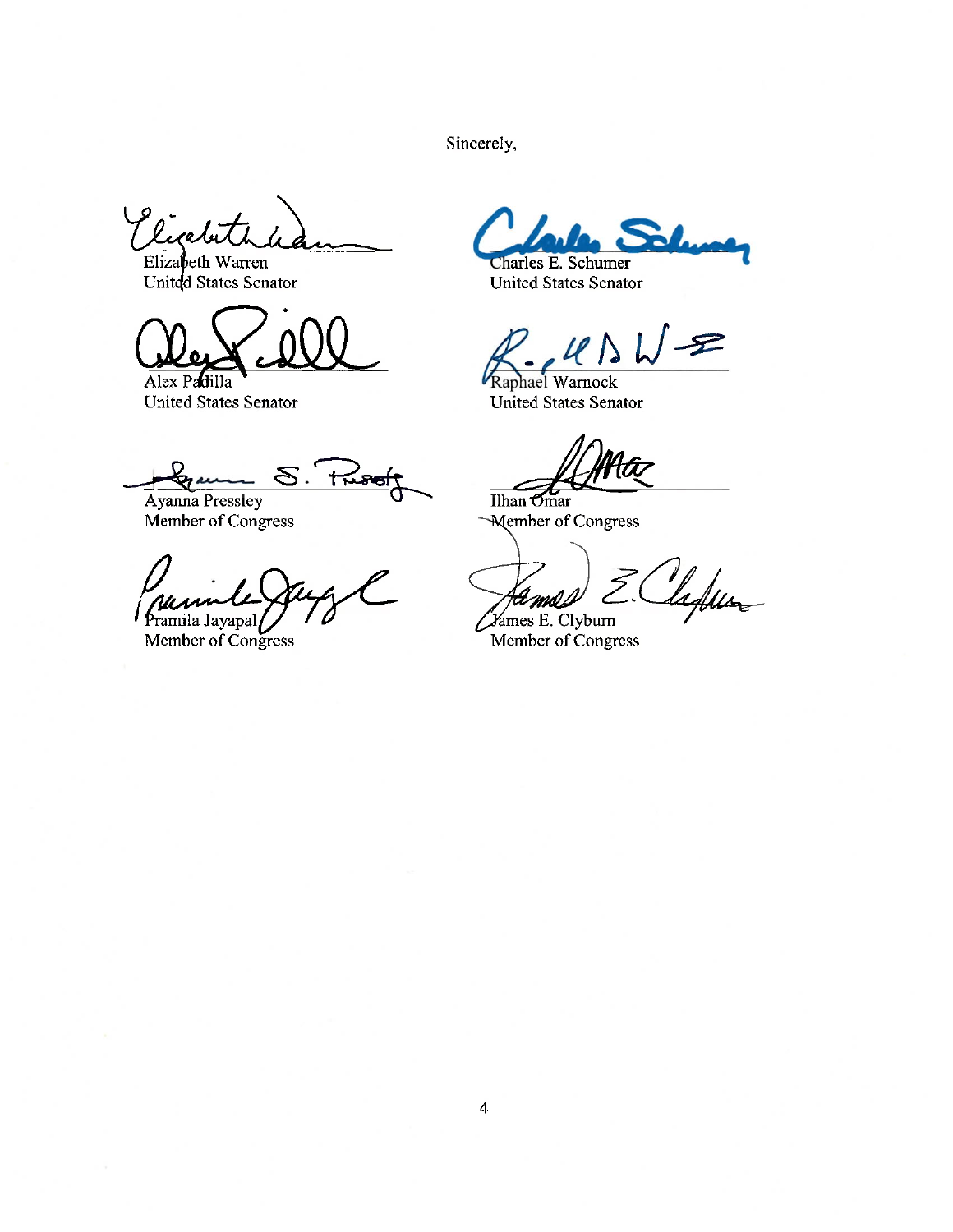Sincerely,

licatur

Elizabeth Warren<br>United States Senator

Alex Padilla **United States Senator** 

 $R$ <u> Dan</u>  $\mathcal{S}.$ 

Ayanna Pressley Member of Congress

Pramila Jayapal

Member of Congress

Charles E. Schumer

**United States Senator** 

**P** 

Raphael Warnock United States Senator

 $\overline{\mathop{\text{Ilhan}}\nolimits \mathop{\text{Omar}}\nolimits}$ -Member of Congress

Vadur

*Varmes E. Clyburn* Member of Congress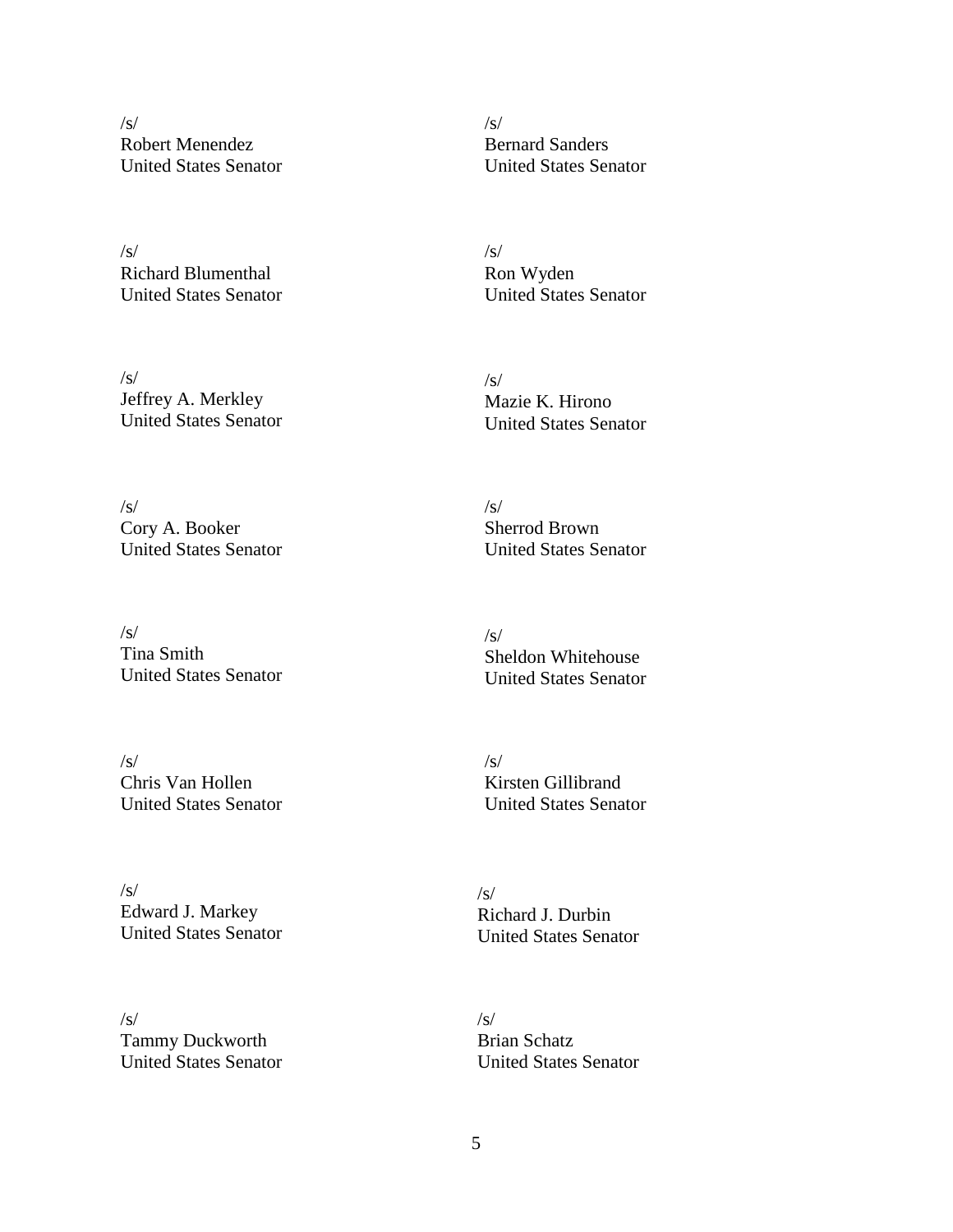/s/ Robert Menendez United States Senator

/s/ Richard Blumenthal United States Senator

/s/ Jeffrey A. Merkley United States Senator

/s/ Cory A. Booker United States Senator

/s/ Tina Smith United States Senator

/s/ Chris Van Hollen United States Senator

/s/ Edward J. Markey United States Senator

/s/ Tammy Duckworth United States Senator /s/ Bernard Sanders United States Senator

/s/ Ron Wyden United States Senator

- $\sqrt{s}$ Mazie K. Hirono United States Senator
- /s/ Sherrod Brown United States Senator

/s/ Sheldon Whitehouse United States Senator

/s/ Kirsten Gillibrand United States Senator

/s/ Richard J. Durbin United States Senator

/s/ Brian Schatz United States Senator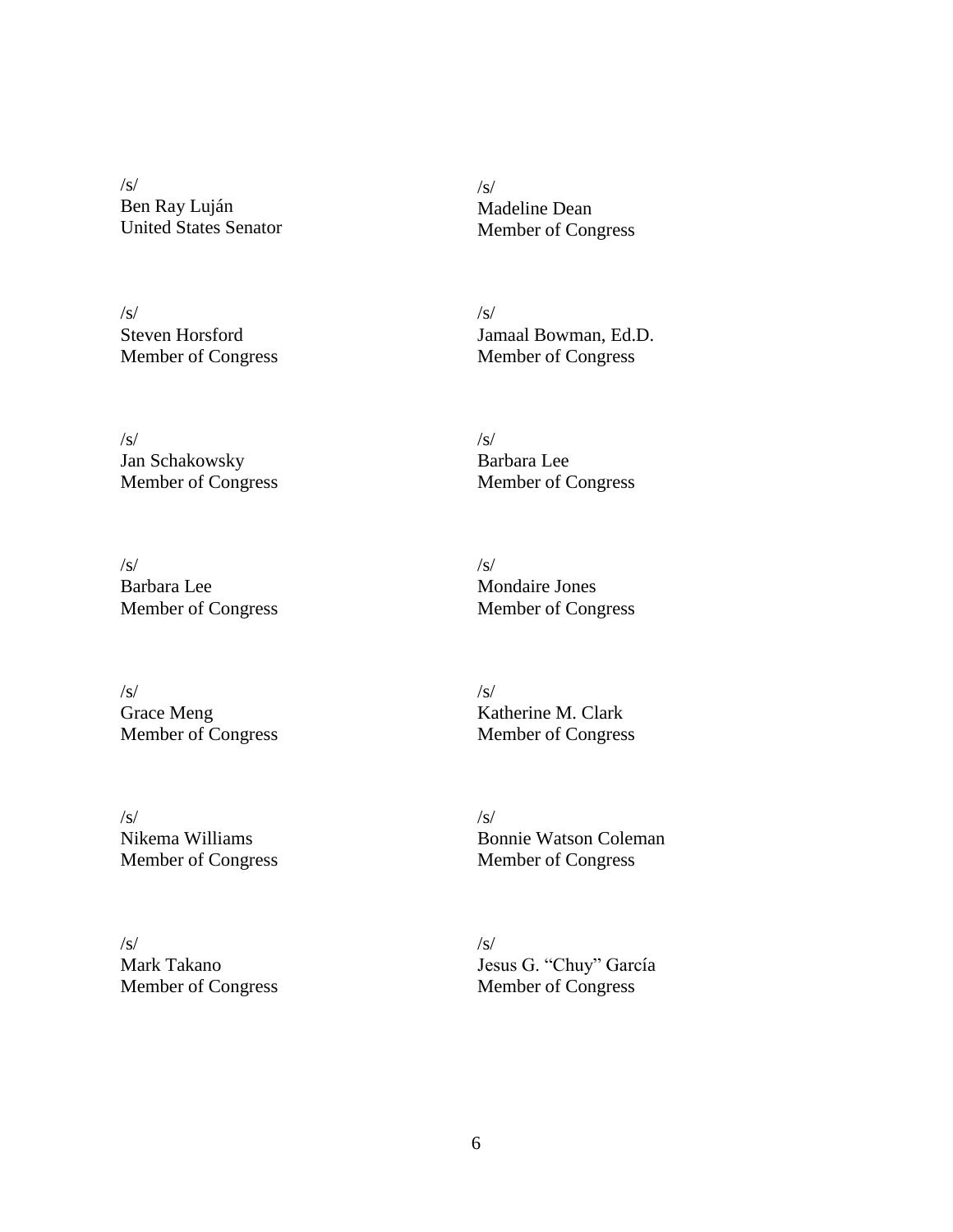/s/ Ben Ray Luján United States Senator

 $\sqrt{s}$ Steven Horsford Member of Congress

/s/ Jan Schakowsky Member of Congress

/s/ Barbara Lee Member of Congress

 $\sqrt{s}$ Grace Meng Member of Congress

/s/ Nikema Williams Member of Congress

/s/ Mark Takano Member of Congress

 $\sqrt{s}$ Madeline Dean Member of Congress

/s/ Jamaal Bowman, Ed.D. Member of Congress

/s/ Barbara Lee Member of Congress

/s/ Mondaire Jones Member of Congress

 $\sqrt{s}$ Katherine M. Clark Member of Congress

 $\sqrt{s}$ Bonnie Watson Coleman Member of Congress

 $\sqrt{s}$ Jesus G. "Chuy" García Member of Congress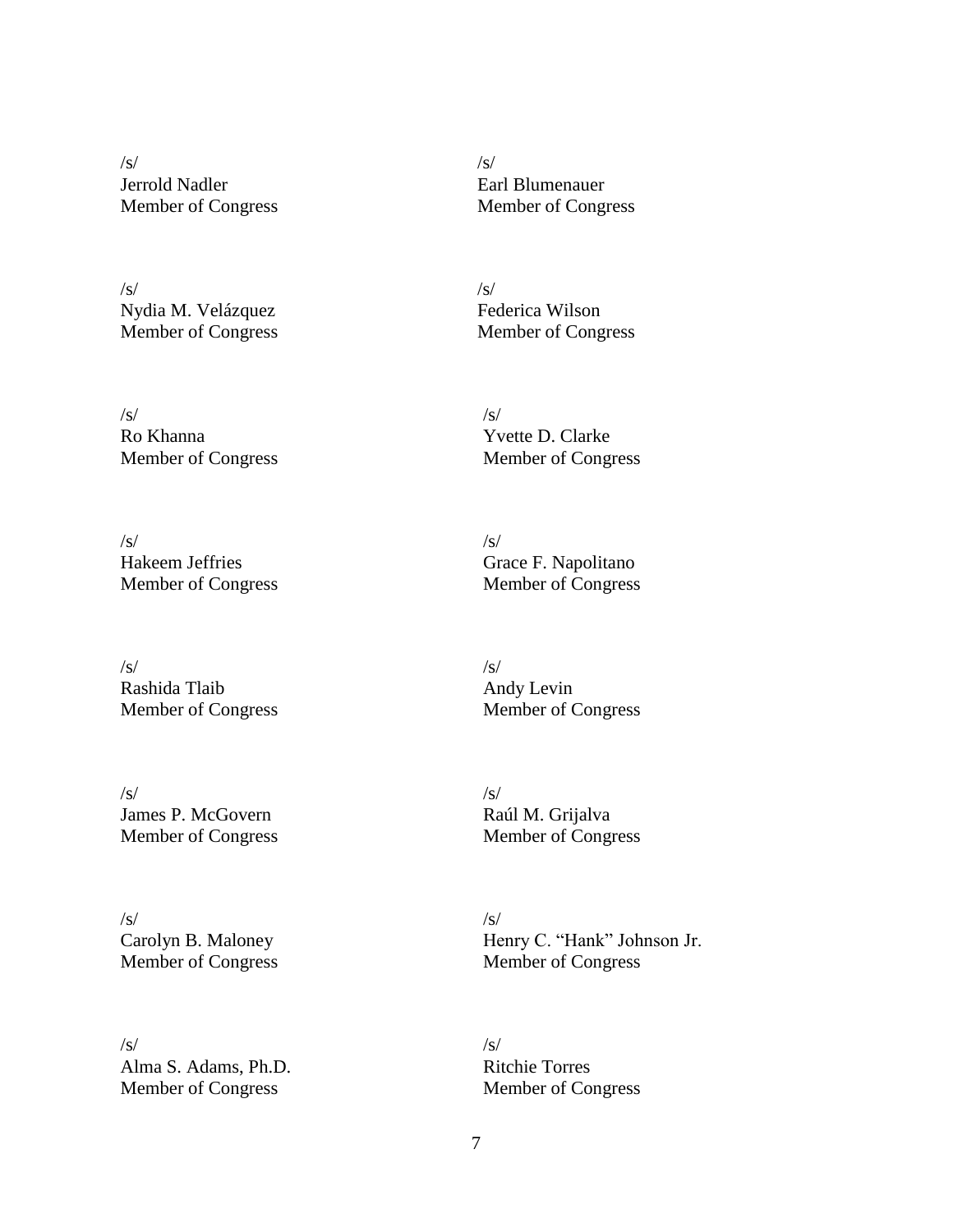/s/ Jerrold Nadler Member of Congress

/s/ Nydia M. Velázquez Member of Congress

/s/ Ro Khanna Member of Congress

/s/ Hakeem Jeffries Member of Congress

/s/ Rashida Tlaib Member of Congress

/s/ James P. McGovern Member of Congress

/s/ Carolyn B. Maloney Member of Congress

 $\sqrt{s}$ Alma S. Adams, Ph.D. Member of Congress

/s/ Earl Blumenauer Member of Congress

 $\sqrt{s}$ Federica Wilson Member of Congress

 $\sqrt{s}$ Yvette D. Clarke Member of Congress

/s/ Grace F. Napolitano Member of Congress

/s/ Andy Levin Member of Congress

 $\sqrt{s}$ Raúl M. Grijalva Member of Congress

/s/ Henry C. "Hank" Johnson Jr. Member of Congress

/s/ Ritchie Torres Member of Congress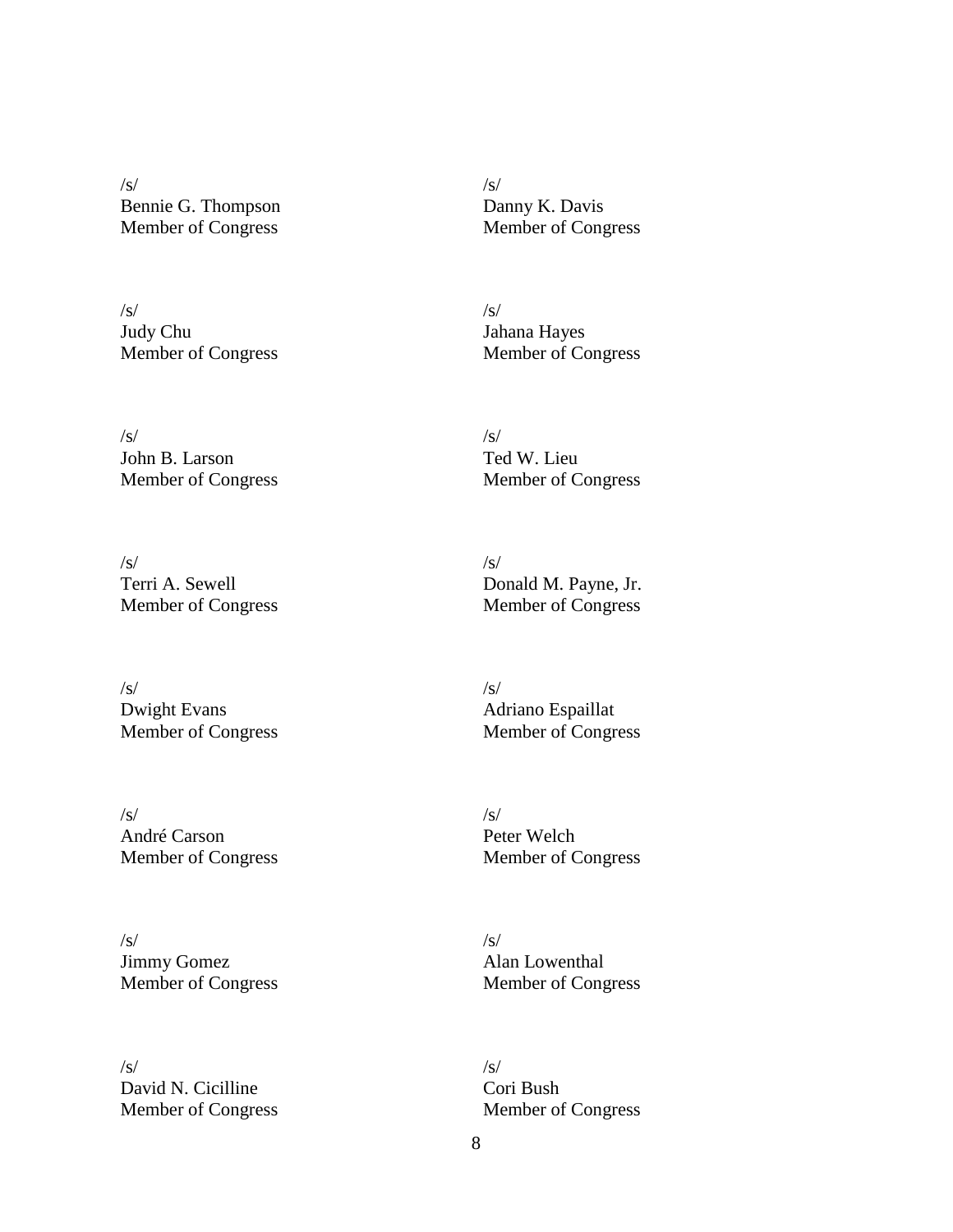/s/ Bennie G. Thompson Member of Congress

/s/ Judy Chu Member of Congress

/s/ John B. Larson Member of Congress

/s/ Terri A. Sewell Member of Congress

/s/ Dwight Evans Member of Congress

/s/ André Carson Member of Congress

/s/ Jimmy Gomez Member of Congress

/s/ David N. Cicilline Member of Congress /s/ Danny K. Davis Member of Congress

/s/ Jahana Hayes Member of Congress

/s/ Ted W. Lieu Member of Congress

/s/ Donald M. Payne, Jr. Member of Congress

/s/ Adriano Espaillat Member of Congress

/s/ Peter Welch Member of Congress

/s/ Alan Lowenthal Member of Congress

/s/ Cori Bush Member of Congress

8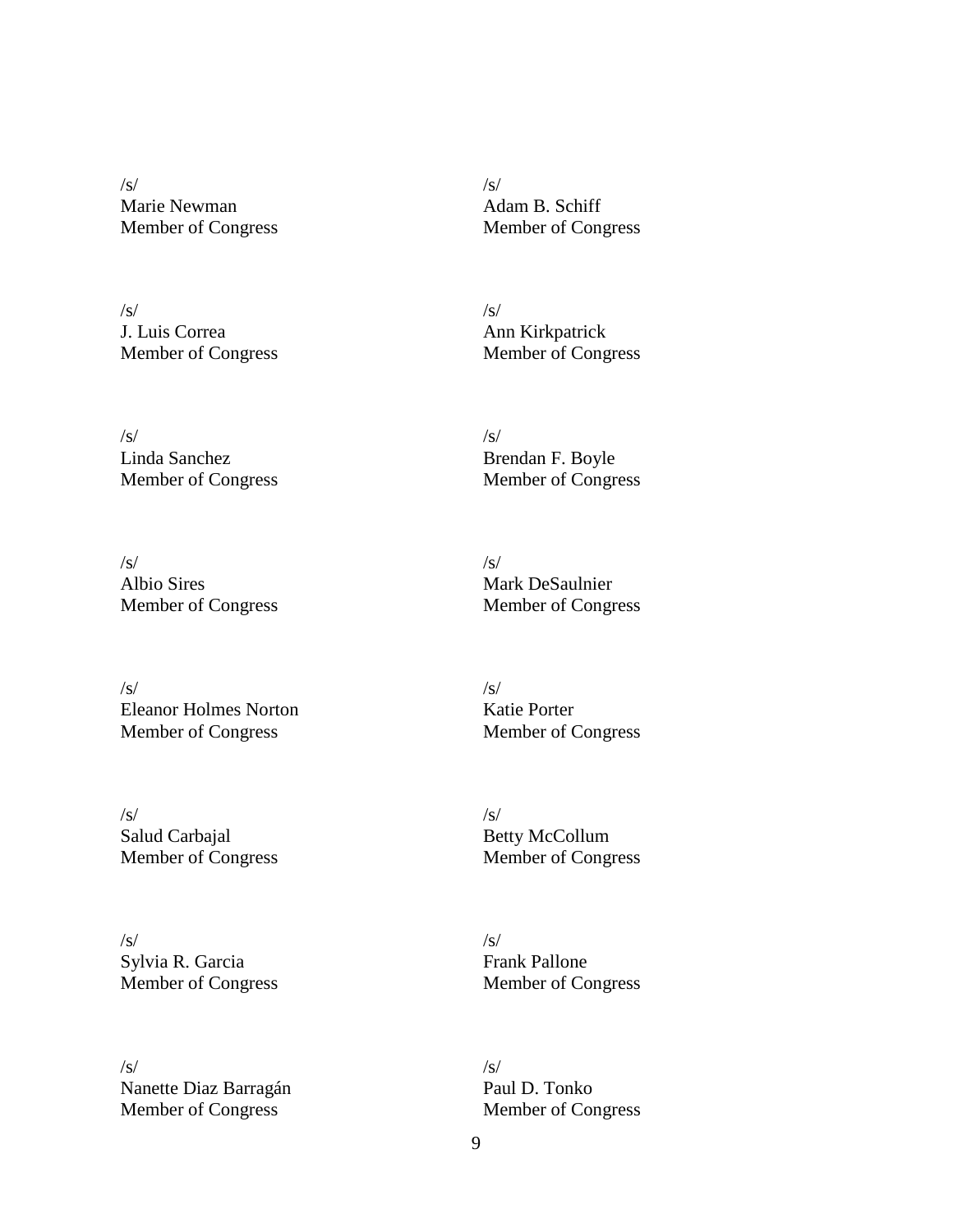/s/ Marie Newman Member of Congress

/s/ J. Luis Correa Member of Congress

/s/ Linda Sanchez Member of Congress

/s/ Albio Sires Member of Congress

 $\sqrt{s}$ Eleanor Holmes Norton Member of Congress

/s/ Salud Carbajal Member of Congress

/s/ Sylvia R. Garcia Member of Congress

/s/ Nanette Diaz Barragán Member of Congress

/s/ Adam B. Schiff Member of Congress

/s/ Ann Kirkpatrick Member of Congress

/s/ Brendan F. Boyle Member of Congress

/s/ Mark DeSaulnier Member of Congress

 $\sqrt{s/2}$ Katie Porter Member of Congress

/s/ Betty McCollum Member of Congress

/s/ Frank Pallone Member of Congress

/s/ Paul D. Tonko Member of Congress

9